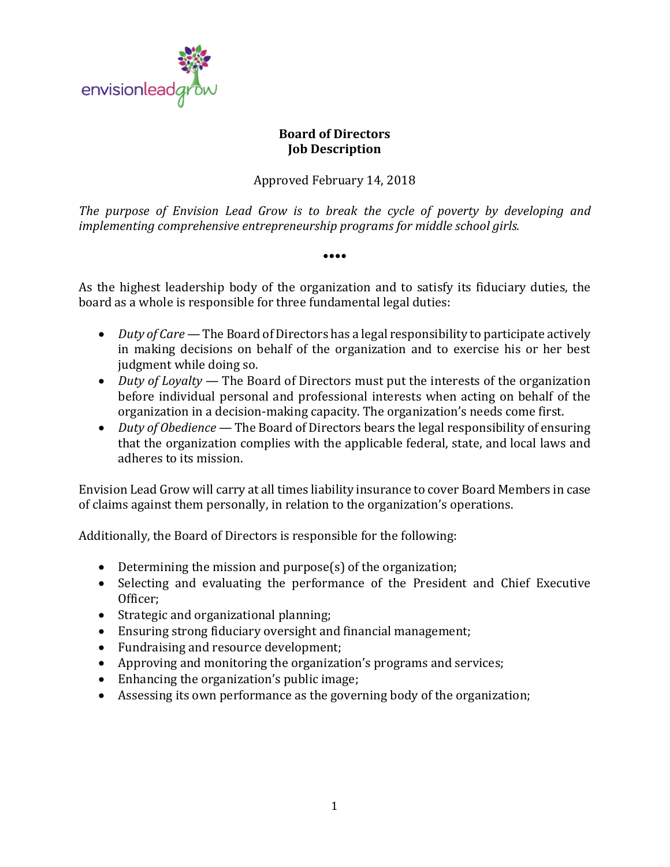

#### **Board of Directors Job Description**

Approved February 14, 2018

*The purpose of Envision Lead Grow is to break the cycle of poverty by developing and implementing comprehensive entrepreneurship programs for middle school girls.*

 $\bullet\bullet\bullet\bullet$ 

As the highest leadership body of the organization and to satisfy its fiduciary duties, the board as a whole is responsible for three fundamental legal duties:

- *Duty of Care* The Board of Directors has a legal responsibility to participate actively in making decisions on behalf of the organization and to exercise his or her best judgment while doing so.
- *Duty of Loyalty* The Board of Directors must put the interests of the organization before individual personal and professional interests when acting on behalf of the organization in a decision-making capacity. The organization's needs come first.
- *Duty of Obedience* The Board of Directors bears the legal responsibility of ensuring that the organization complies with the applicable federal, state, and local laws and adheres to its mission.

Envision Lead Grow will carry at all times liability insurance to cover Board Members in case of claims against them personally, in relation to the organization's operations.

Additionally, the Board of Directors is responsible for the following:

- Determining the mission and purpose(s) of the organization;
- Selecting and evaluating the performance of the President and Chief Executive Officer;
- Strategic and organizational planning;
- Ensuring strong fiduciary oversight and financial management;
- Fundraising and resource development;
- Approving and monitoring the organization's programs and services;
- Enhancing the organization's public image;
- Assessing its own performance as the governing body of the organization;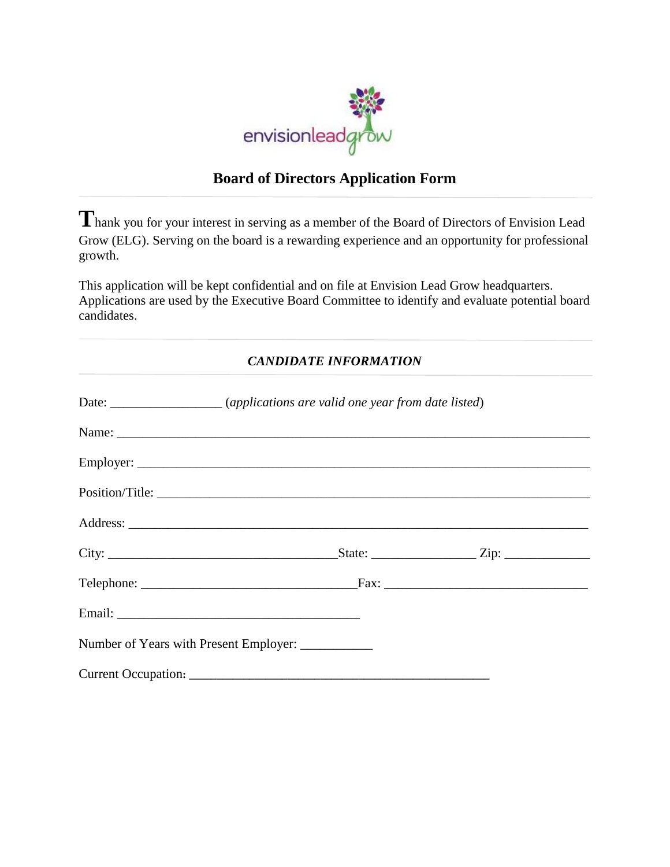

## **Board of Directors Application Form**

**T**hank you for your interest in serving as a member of the Board of Directors of Envision Lead Grow (ELG). Serving on the board is a rewarding experience and an opportunity for professional growth.

This application will be kept confidential and on file at Envision Lead Grow headquarters. Applications are used by the Executive Board Committee to identify and evaluate potential board candidates.

### *CANDIDATE INFORMATION*

|                                                   | Date: ___________________(applications are valid one year from date listed) |  |
|---------------------------------------------------|-----------------------------------------------------------------------------|--|
|                                                   |                                                                             |  |
|                                                   |                                                                             |  |
|                                                   |                                                                             |  |
|                                                   |                                                                             |  |
|                                                   |                                                                             |  |
|                                                   |                                                                             |  |
|                                                   |                                                                             |  |
| Number of Years with Present Employer: __________ |                                                                             |  |
|                                                   |                                                                             |  |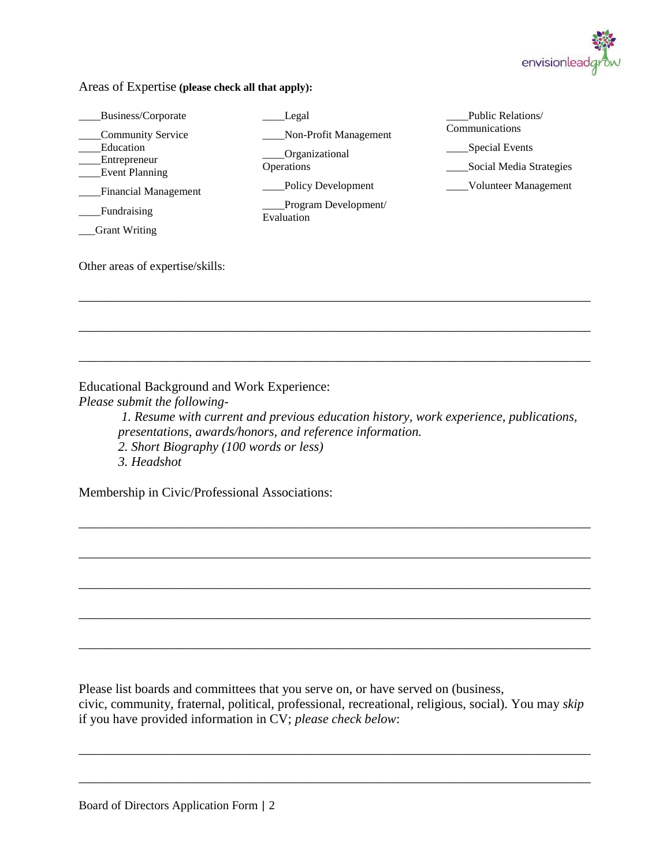

#### Areas of Expertise **(please check all that apply):**

| Business/Corporate                    | Legal                              | Public Relations/       |
|---------------------------------------|------------------------------------|-------------------------|
| Community Service                     | Non-Profit Management              | Communications          |
| Education                             | Organizational                     | Special Events          |
| Entrepreneur<br><b>Event Planning</b> | <b>Operations</b>                  | Social Media Strategies |
| <b>Financial Management</b>           | Policy Development                 | Volunteer Management    |
| Fundraising                           | Program Development/<br>Evaluation |                         |
| <b>Grant Writing</b>                  |                                    |                         |
|                                       |                                    |                         |

\_\_\_\_\_\_\_\_\_\_\_\_\_\_\_\_\_\_\_\_\_\_\_\_\_\_\_\_\_\_\_\_\_\_\_\_\_\_\_\_\_\_\_\_\_\_\_\_\_\_\_\_\_\_\_\_\_\_\_\_\_\_\_\_\_\_\_\_\_\_\_\_\_\_\_\_\_\_

\_\_\_\_\_\_\_\_\_\_\_\_\_\_\_\_\_\_\_\_\_\_\_\_\_\_\_\_\_\_\_\_\_\_\_\_\_\_\_\_\_\_\_\_\_\_\_\_\_\_\_\_\_\_\_\_\_\_\_\_\_\_\_\_\_\_\_\_\_\_\_\_\_\_\_\_\_\_

\_\_\_\_\_\_\_\_\_\_\_\_\_\_\_\_\_\_\_\_\_\_\_\_\_\_\_\_\_\_\_\_\_\_\_\_\_\_\_\_\_\_\_\_\_\_\_\_\_\_\_\_\_\_\_\_\_\_\_\_\_\_\_\_\_\_\_\_\_\_\_\_\_\_\_\_\_\_

Other areas of expertise/skills:

Educational Background and Work Experience:

*Please submit the following-*

*1. Resume with current and previous education history, work experience, publications, presentations, awards/honors, and reference information. 2. Short Biography (100 words or less)*

\_\_\_\_\_\_\_\_\_\_\_\_\_\_\_\_\_\_\_\_\_\_\_\_\_\_\_\_\_\_\_\_\_\_\_\_\_\_\_\_\_\_\_\_\_\_\_\_\_\_\_\_\_\_\_\_\_\_\_\_\_\_\_\_\_\_\_\_\_\_\_\_\_\_\_\_\_\_

\_\_\_\_\_\_\_\_\_\_\_\_\_\_\_\_\_\_\_\_\_\_\_\_\_\_\_\_\_\_\_\_\_\_\_\_\_\_\_\_\_\_\_\_\_\_\_\_\_\_\_\_\_\_\_\_\_\_\_\_\_\_\_\_\_\_\_\_\_\_\_\_\_\_\_\_\_\_

\_\_\_\_\_\_\_\_\_\_\_\_\_\_\_\_\_\_\_\_\_\_\_\_\_\_\_\_\_\_\_\_\_\_\_\_\_\_\_\_\_\_\_\_\_\_\_\_\_\_\_\_\_\_\_\_\_\_\_\_\_\_\_\_\_\_\_\_\_\_\_\_\_\_\_\_\_\_

\_\_\_\_\_\_\_\_\_\_\_\_\_\_\_\_\_\_\_\_\_\_\_\_\_\_\_\_\_\_\_\_\_\_\_\_\_\_\_\_\_\_\_\_\_\_\_\_\_\_\_\_\_\_\_\_\_\_\_\_\_\_\_\_\_\_\_\_\_\_\_\_\_\_\_\_\_\_

\_\_\_\_\_\_\_\_\_\_\_\_\_\_\_\_\_\_\_\_\_\_\_\_\_\_\_\_\_\_\_\_\_\_\_\_\_\_\_\_\_\_\_\_\_\_\_\_\_\_\_\_\_\_\_\_\_\_\_\_\_\_\_\_\_\_\_\_\_\_\_\_\_\_\_\_\_\_

*3. Headshot*

Membership in Civic/Professional Associations:

Please list boards and committees that you serve on, or have served on (business, civic, community, fraternal, political, professional, recreational, religious, social). You may *skip* if you have provided information in CV; *please check below*:

\_\_\_\_\_\_\_\_\_\_\_\_\_\_\_\_\_\_\_\_\_\_\_\_\_\_\_\_\_\_\_\_\_\_\_\_\_\_\_\_\_\_\_\_\_\_\_\_\_\_\_\_\_\_\_\_\_\_\_\_\_\_\_\_\_\_\_\_\_\_\_\_\_\_\_\_\_\_

\_\_\_\_\_\_\_\_\_\_\_\_\_\_\_\_\_\_\_\_\_\_\_\_\_\_\_\_\_\_\_\_\_\_\_\_\_\_\_\_\_\_\_\_\_\_\_\_\_\_\_\_\_\_\_\_\_\_\_\_\_\_\_\_\_\_\_\_\_\_\_\_\_\_\_\_\_\_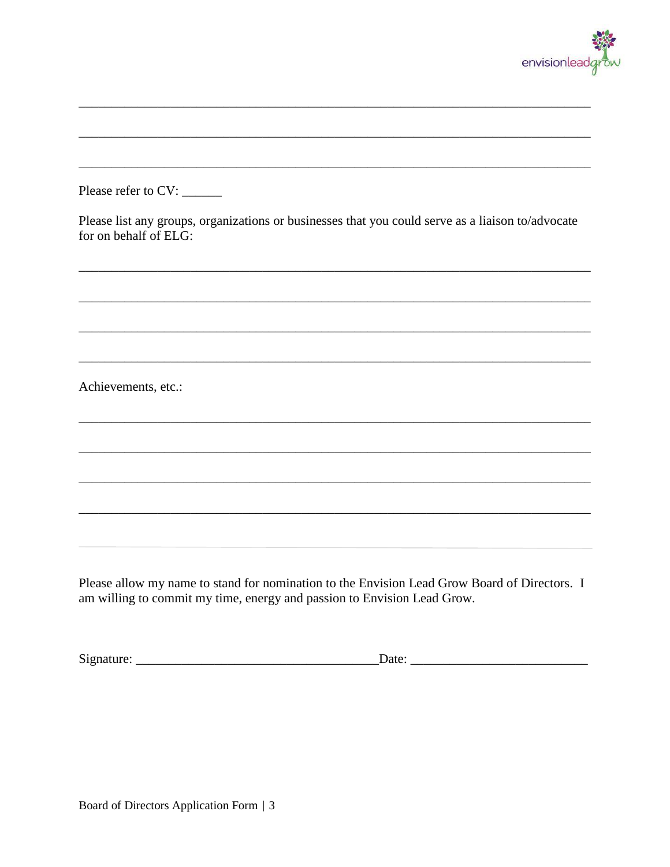

| Please refer to CV: _______ |                                                                                                   |
|-----------------------------|---------------------------------------------------------------------------------------------------|
| for on behalf of ELG:       | Please list any groups, organizations or businesses that you could serve as a liaison to/advocate |
|                             |                                                                                                   |
|                             |                                                                                                   |
|                             |                                                                                                   |
| Achievements, etc.:         |                                                                                                   |
|                             |                                                                                                   |
|                             |                                                                                                   |
|                             |                                                                                                   |
|                             |                                                                                                   |
|                             |                                                                                                   |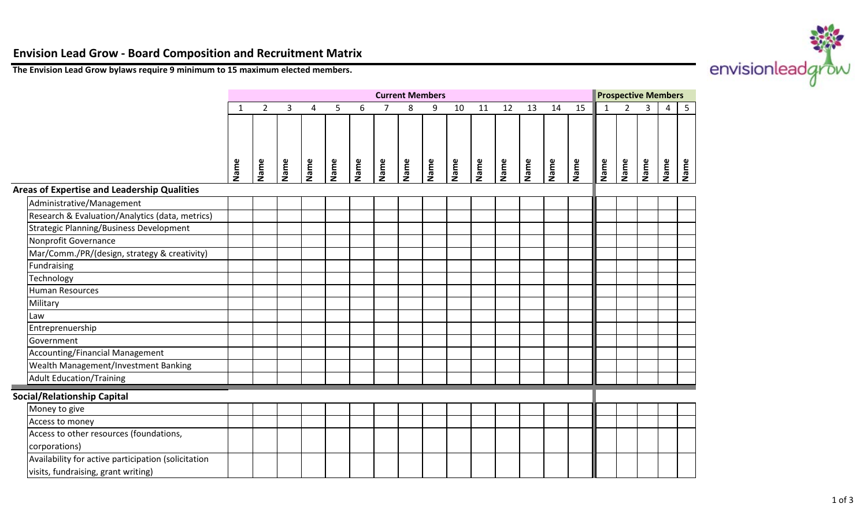

# **Envision Lead Grow - Board Composition and Recruitment Matrix**

**The Envision Lead Grow bylaws require 9 minimum to 15 maximum elected members.**

|                                                                                            | <b>Current Members</b> |                |      |      |      |      |                |      |      |      |      |      |      |      |      | <b>Prospective Members</b> |             |      |      |                |
|--------------------------------------------------------------------------------------------|------------------------|----------------|------|------|------|------|----------------|------|------|------|------|------|------|------|------|----------------------------|-------------|------|------|----------------|
|                                                                                            | $\mathbf{1}$           | $\overline{2}$ | 3    | 4    | 5    | 6    | $\overline{7}$ | 8    | 9    | 10   | 11   | 12   | 13   | 14   | 15   | 1                          | $2^{\circ}$ | 3    | 4    | 5 <sup>5</sup> |
|                                                                                            | Name                   | Name           | Name | Name | Name | Name | Name           | Name | Name | Name | Name | Name | Name | Name | Name | Name                       | Name        | Name | Name | Name           |
| Areas of Expertise and Leadership Qualities                                                |                        |                |      |      |      |      |                |      |      |      |      |      |      |      |      |                            |             |      |      |                |
| Administrative/Management                                                                  |                        |                |      |      |      |      |                |      |      |      |      |      |      |      |      |                            |             |      |      |                |
| Research & Evaluation/Analytics (data, metrics)                                            |                        |                |      |      |      |      |                |      |      |      |      |      |      |      |      |                            |             |      |      |                |
| <b>Strategic Planning/Business Development</b>                                             |                        |                |      |      |      |      |                |      |      |      |      |      |      |      |      |                            |             |      |      |                |
| Nonprofit Governance                                                                       |                        |                |      |      |      |      |                |      |      |      |      |      |      |      |      |                            |             |      |      |                |
| Mar/Comm./PR/(design, strategy & creativity)                                               |                        |                |      |      |      |      |                |      |      |      |      |      |      |      |      |                            |             |      |      |                |
| Fundraising                                                                                |                        |                |      |      |      |      |                |      |      |      |      |      |      |      |      |                            |             |      |      |                |
| Technology                                                                                 |                        |                |      |      |      |      |                |      |      |      |      |      |      |      |      |                            |             |      |      |                |
| Human Resources                                                                            |                        |                |      |      |      |      |                |      |      |      |      |      |      |      |      |                            |             |      |      |                |
| Military                                                                                   |                        |                |      |      |      |      |                |      |      |      |      |      |      |      |      |                            |             |      |      |                |
| Law                                                                                        |                        |                |      |      |      |      |                |      |      |      |      |      |      |      |      |                            |             |      |      |                |
| Entreprenuership                                                                           |                        |                |      |      |      |      |                |      |      |      |      |      |      |      |      |                            |             |      |      |                |
| Government                                                                                 |                        |                |      |      |      |      |                |      |      |      |      |      |      |      |      |                            |             |      |      |                |
| <b>Accounting/Financial Management</b>                                                     |                        |                |      |      |      |      |                |      |      |      |      |      |      |      |      |                            |             |      |      |                |
| Wealth Management/Investment Banking                                                       |                        |                |      |      |      |      |                |      |      |      |      |      |      |      |      |                            |             |      |      |                |
| <b>Adult Education/Training</b>                                                            |                        |                |      |      |      |      |                |      |      |      |      |      |      |      |      |                            |             |      |      |                |
| <b>Social/Relationship Capital</b>                                                         |                        |                |      |      |      |      |                |      |      |      |      |      |      |      |      |                            |             |      |      |                |
| Money to give                                                                              |                        |                |      |      |      |      |                |      |      |      |      |      |      |      |      |                            |             |      |      |                |
| Access to money                                                                            |                        |                |      |      |      |      |                |      |      |      |      |      |      |      |      |                            |             |      |      |                |
| Access to other resources (foundations,<br>corporations)                                   |                        |                |      |      |      |      |                |      |      |      |      |      |      |      |      |                            |             |      |      |                |
| Availability for active participation (solicitation<br>visits, fundraising, grant writing) |                        |                |      |      |      |      |                |      |      |      |      |      |      |      |      |                            |             |      |      |                |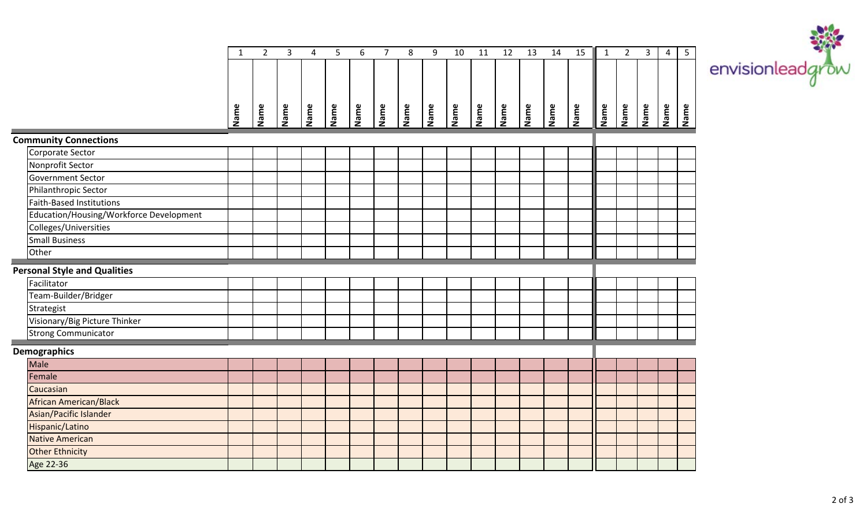

|                                                                  | $\mathbf{1}$ | $\overline{2}$ | $\mathbf{3}$ | $\overline{4}$ | 5    | 6    | $7\overline{ }$ | 8    | 9    | 10   | 11   | 12   | 13   | 14   | 15   | $\mathbf{1}$ | $\overline{2}$ | $\overline{3}$ | $\overline{a}$ | $5\phantom{.}$ |
|------------------------------------------------------------------|--------------|----------------|--------------|----------------|------|------|-----------------|------|------|------|------|------|------|------|------|--------------|----------------|----------------|----------------|----------------|
|                                                                  | Name         | Name           | Name         | Name           | Name | Name | Name            | Name | Name | Name | Name | Name | Name | Name | Name | Name         | Name           | Name           | Name           | Name           |
|                                                                  |              |                |              |                |      |      |                 |      |      |      |      |      |      |      |      |              |                |                |                |                |
| <b>Community Connections</b>                                     |              |                |              |                |      |      |                 |      |      |      |      |      |      |      |      |              |                |                |                |                |
| Corporate Sector                                                 |              |                |              |                |      |      |                 |      |      |      |      |      |      |      |      |              |                |                |                |                |
| Nonprofit Sector                                                 |              |                |              |                |      |      |                 |      |      |      |      |      |      |      |      |              |                |                |                |                |
| <b>Government Sector</b>                                         |              |                |              |                |      |      |                 |      |      |      |      |      |      |      |      |              |                |                |                |                |
| Philanthropic Sector                                             |              |                |              |                |      |      |                 |      |      |      |      |      |      |      |      |              |                |                |                |                |
| <b>Faith-Based Institutions</b>                                  |              |                |              |                |      |      |                 |      |      |      |      |      |      |      |      |              |                |                |                |                |
| Education/Housing/Workforce Development<br>Colleges/Universities |              |                |              |                |      |      |                 |      |      |      |      |      |      |      |      |              |                |                |                |                |
| <b>Small Business</b>                                            |              |                |              |                |      |      |                 |      |      |      |      |      |      |      |      |              |                |                |                |                |
| Other                                                            |              |                |              |                |      |      |                 |      |      |      |      |      |      |      |      |              |                |                |                |                |
|                                                                  |              |                |              |                |      |      |                 |      |      |      |      |      |      |      |      |              |                |                |                |                |
| <b>Personal Style and Qualities</b>                              |              |                |              |                |      |      |                 |      |      |      |      |      |      |      |      |              |                |                |                |                |
| Facilitator                                                      |              |                |              |                |      |      |                 |      |      |      |      |      |      |      |      |              |                |                |                |                |
| Team-Builder/Bridger                                             |              |                |              |                |      |      |                 |      |      |      |      |      |      |      |      |              |                |                |                |                |
| Strategist                                                       |              |                |              |                |      |      |                 |      |      |      |      |      |      |      |      |              |                |                |                |                |
| Visionary/Big Picture Thinker                                    |              |                |              |                |      |      |                 |      |      |      |      |      |      |      |      |              |                |                |                |                |
| <b>Strong Communicator</b>                                       |              |                |              |                |      |      |                 |      |      |      |      |      |      |      |      |              |                |                |                |                |
| <b>Demographics</b>                                              |              |                |              |                |      |      |                 |      |      |      |      |      |      |      |      |              |                |                |                |                |
| Male                                                             |              |                |              |                |      |      |                 |      |      |      |      |      |      |      |      |              |                |                |                |                |
| Female                                                           |              |                |              |                |      |      |                 |      |      |      |      |      |      |      |      |              |                |                |                |                |
| Caucasian                                                        |              |                |              |                |      |      |                 |      |      |      |      |      |      |      |      |              |                |                |                |                |
| <b>African American/Black</b>                                    |              |                |              |                |      |      |                 |      |      |      |      |      |      |      |      |              |                |                |                |                |
| Asian/Pacific Islander                                           |              |                |              |                |      |      |                 |      |      |      |      |      |      |      |      |              |                |                |                |                |
| Hispanic/Latino                                                  |              |                |              |                |      |      |                 |      |      |      |      |      |      |      |      |              |                |                |                |                |
| <b>Native American</b>                                           |              |                |              |                |      |      |                 |      |      |      |      |      |      |      |      |              |                |                |                |                |
| <b>Other Ethnicity</b>                                           |              |                |              |                |      |      |                 |      |      |      |      |      |      |      |      |              |                |                |                |                |
| Age 22-36                                                        |              |                |              |                |      |      |                 |      |      |      |      |      |      |      |      |              |                |                |                |                |